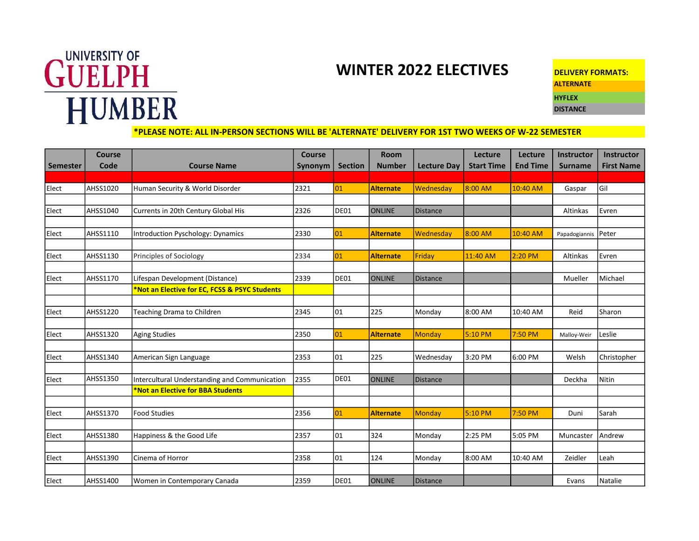## **GUELPH HUMBER**

## WINTER 2022 ELECTIVES DELIVERY FORMATS:

**ALTERNATE** HYFLEX **DISTANCE** 

## \*PLEASE NOTE: ALL IN-PERSON SECTIONS WILL BE 'ALTERNATE' DELIVERY FOR 1ST TWO WEEKS OF W-22 SEMESTER

|                 | <b>Course</b> |                                               | <b>Course</b> |                | <b>Room</b>      |                    | Lecture           | Lecture         | Instructor     | <b>Instructor</b> |
|-----------------|---------------|-----------------------------------------------|---------------|----------------|------------------|--------------------|-------------------|-----------------|----------------|-------------------|
| <b>Semester</b> | Code          | <b>Course Name</b>                            | Synonym       | <b>Section</b> | <b>Number</b>    | <b>Lecture Dav</b> | <b>Start Time</b> | <b>End Time</b> | <b>Surname</b> | <b>First Name</b> |
|                 |               |                                               |               |                |                  |                    |                   |                 |                |                   |
| Elect           | AHSS1020      | Human Security & World Disorder               | 2321          | 01             | <b>Alternate</b> | Wednesday          | 8:00 AM           | 10:40 AM        | Gaspar         | Gil               |
|                 |               |                                               |               |                |                  |                    |                   |                 |                |                   |
| Elect           | AHSS1040      | Currents in 20th Century Global His           | 2326          | DE01           | <b>ONLINE</b>    | Distance           |                   |                 | Altinkas       | Evren             |
|                 |               |                                               |               |                |                  |                    |                   |                 |                |                   |
| Elect           | AHSS1110      | Introduction Pyschology: Dynamics             | 2330          | 01             | <b>Alternate</b> | Wednesday          | 8:00 AM           | 10:40 AM        | Papadogiannis  | Peter             |
|                 |               |                                               |               |                |                  |                    |                   |                 |                |                   |
| Elect           | AHSS1130      | Principles of Sociology                       | 2334          | 01             | <b>Alternate</b> | Friday             | 11:40 AM          | 2:20 PM         | Altinkas       | Evren             |
|                 |               |                                               |               |                |                  |                    |                   |                 |                |                   |
| Elect           | AHSS1170      | Lifespan Development (Distance)               | 2339          | DE01           | <b>ONLINE</b>    | Distance           |                   |                 | Mueller        | Michael           |
|                 |               | *Not an Elective for EC, FCSS & PSYC Students |               |                |                  |                    |                   |                 |                |                   |
|                 |               |                                               |               |                |                  |                    |                   |                 |                |                   |
| Elect           | AHSS1220      | Teaching Drama to Children                    | 2345          | 101            | 225              | Monday             | 8:00 AM           | 10:40 AM        | Reid           | Sharon            |
|                 |               |                                               |               |                |                  |                    |                   |                 |                |                   |
| Elect           | AHSS1320      | Aging Studies                                 | 2350          | 01             | <b>Alternate</b> | <b>Monday</b>      | 5:10 P M          | 7:50 PM         | Malloy-Weir    | Leslie            |
|                 |               |                                               |               |                |                  |                    |                   |                 |                |                   |
| Elect           | AHSS1340      | American Sign Language                        | 2353          | 01             | 225              | Wednesday          | 3:20 PM           | 6:00 PM         | Welsh          | Christopher       |
|                 |               |                                               |               |                |                  |                    |                   |                 |                |                   |
| Elect           | AHSS1350      | Intercultural Understanding and Communication | 2355          | DE01           | <b>ONLINE</b>    | <b>Distance</b>    |                   |                 | Deckha         | Nitin             |
|                 |               | *Not an Elective for BBA Students             |               |                |                  |                    |                   |                 |                |                   |
|                 |               |                                               |               |                |                  |                    |                   |                 |                |                   |
| Elect           | AHSS1370      | <b>Food Studies</b>                           | 2356          | 01             | <b>Alternate</b> | Monday             | 5:10 PM           | 7:50 PM         | Duni           | Sarah             |
|                 |               |                                               |               |                |                  |                    |                   |                 |                |                   |
| Elect           | AHSS1380      | Happiness & the Good Life                     | 2357          | 101            | 324              | Monday             | 2:25 PM           | 5:05 PM         | Muncaster      | Andrew            |
|                 |               |                                               |               |                |                  |                    |                   |                 |                |                   |
| Elect           | AHSS1390      | Cinema of Horror                              | 2358          | 101            | 124              | Monday             | 8:00 AM           | 10:40 AM        | Zeidler        | Leah              |
|                 |               |                                               |               |                |                  |                    |                   |                 |                |                   |
| Elect           | AHSS1400      | Women in Contemporary Canada                  | 2359          | DE01           | <b>ONLINE</b>    | Distance           |                   |                 | Evans          | Natalie           |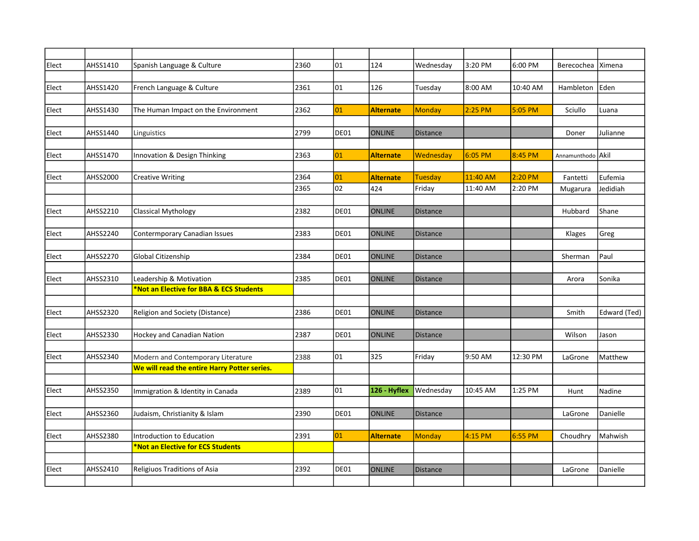| Elect | AHSS1410        | Spanish Language & Culture                         | 2360 | 01   | 124              | Wednesday       | 3:20 PM   | 6:00 PM  | Berecochea        | Ximena       |
|-------|-----------------|----------------------------------------------------|------|------|------------------|-----------------|-----------|----------|-------------------|--------------|
|       |                 |                                                    |      |      |                  |                 |           |          |                   |              |
| Elect | AHSS1420        | French Language & Culture                          | 2361 | 01   | 126              | Tuesday         | 8:00 AM   | 10:40 AM | Hambleton         | Eden         |
|       |                 |                                                    |      |      |                  |                 |           |          |                   |              |
| Elect | AHSS1430        | The Human Impact on the Environment                | 2362 | 01   | <b>Alternate</b> | <b>Monday</b>   | $2:25$ PM | 5:05 PM  | Sciullo           | Luana        |
|       |                 |                                                    |      |      |                  |                 |           |          |                   |              |
| Elect | AHSS1440        | Linguistics                                        | 2799 | DE01 | ONLINE           | Distance        |           |          | Doner             | Julianne     |
|       |                 |                                                    |      |      |                  |                 |           |          |                   |              |
| Elect | AHSS1470        | Innovation & Design Thinking                       | 2363 | 01   | <b>Alternate</b> | Wednesday       | 6:05 PM   | 8:45 PM  | Annamunthodo Akil |              |
|       |                 |                                                    |      |      |                  |                 |           |          |                   |              |
| Elect | AHSS2000        | <b>Creative Writing</b>                            | 2364 | 01   | <b>Alternate</b> | <b>Tuesday</b>  | 11:40 AM  | 2:20 PM  | Fantetti          | Eufemia      |
|       |                 |                                                    | 2365 | 02   | 424              | Friday          | 11:40 AM  | 2:20 PM  | Mugarura          | Jedidiah     |
|       |                 |                                                    |      |      |                  |                 |           |          |                   |              |
| Elect | AHSS2210        | <b>Classical Mythology</b>                         | 2382 | DE01 | <b>ONLINE</b>    | <b>Distance</b> |           |          | Hubbard           | Shane        |
|       |                 |                                                    |      |      |                  |                 |           |          |                   |              |
| Elect | AHSS2240        | Contermporary Canadian Issues                      | 2383 | DE01 | <b>ONLINE</b>    | <b>Distance</b> |           |          | Klages            | Greg         |
|       |                 |                                                    |      |      |                  |                 |           |          |                   |              |
| Elect | AHSS2270        | Global Citizenship                                 | 2384 | DE01 | <b>ONLINE</b>    | <b>Distance</b> |           |          | Sherman           | Paul         |
|       |                 |                                                    |      |      |                  |                 |           |          |                   |              |
| Elect | AHSS2310        | Leadership & Motivation                            | 2385 | DE01 | <b>ONLINE</b>    | <b>Distance</b> |           |          | Arora             | Sonika       |
|       |                 | <b>*Not an Elective for BBA &amp; ECS Students</b> |      |      |                  |                 |           |          |                   |              |
|       |                 |                                                    |      |      |                  |                 |           |          |                   |              |
| Elect | AHSS2320        | Religion and Society (Distance)                    | 2386 | DE01 | <b>ONLINE</b>    | <b>Distance</b> |           |          | Smith             | Edward (Ted) |
|       |                 |                                                    |      |      |                  |                 |           |          |                   |              |
| Elect | AHSS2330        | Hockey and Canadian Nation                         | 2387 | DE01 | <b>ONLINE</b>    | <b>Distance</b> |           |          | Wilson            | Jason        |
|       |                 |                                                    |      |      |                  |                 |           |          |                   |              |
| Elect | AHSS2340        | Modern and Contemporary Literature                 | 2388 | 01   | 325              | Friday          | 9:50 AM   | 12:30 PM | LaGrone           | Matthew      |
|       |                 | We will read the entire Harry Potter series.       |      |      |                  |                 |           |          |                   |              |
|       |                 |                                                    |      |      |                  |                 |           |          |                   |              |
| Elect | <b>AHSS2350</b> | Immigration & Identity in Canada                   | 2389 | 01   | 126 - Hyflex     | Wednesday       | 10:45 AM  | 1:25 PM  | Hunt              | Nadine       |
|       |                 |                                                    |      |      |                  |                 |           |          |                   |              |
| Elect | AHSS2360        | Judaism, Christianity & Islam                      | 2390 | DE01 | <b>ONLINE</b>    | <b>Distance</b> |           |          | LaGrone           | Danielle     |
|       |                 |                                                    |      |      |                  |                 |           |          |                   |              |
| Elect | AHSS2380        | Introduction to Education                          | 2391 | 01   | <b>Alternate</b> | <b>Monday</b>   | 4:15 PM   | 6:55 PM  | Choudhry          | Mahwish      |
|       |                 | <b>*Not an Elective for ECS Students</b>           |      |      |                  |                 |           |          |                   |              |
|       |                 |                                                    |      |      |                  |                 |           |          |                   |              |
| Elect | AHSS2410        | Religiuos Traditions of Asia                       | 2392 | DE01 | ONLINE           | <b>Distance</b> |           |          | LaGrone           | Danielle     |
|       |                 |                                                    |      |      |                  |                 |           |          |                   |              |